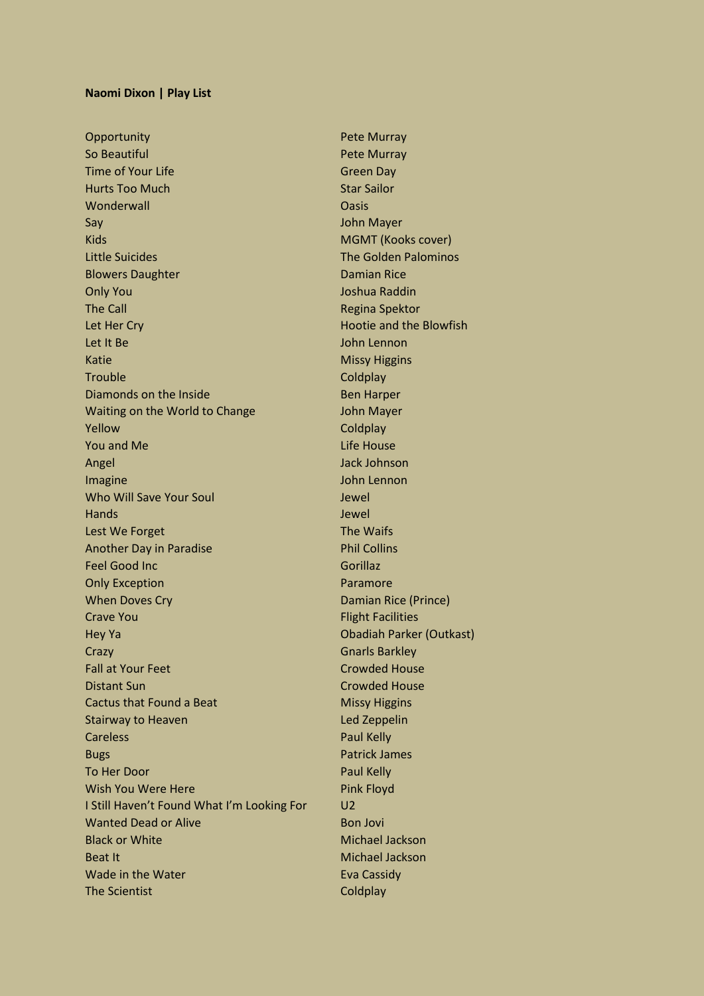## **Naomi Dixon | Play List**

Opportunity Pete Murray So Beautiful **Pete Murray** Time of Your Life Green Day Hurts Too Much Star Sailor Wonderwall **Wonderwall** Oasis Say John Mayer Kids MGMT (Kooks cover) Little Suicides The Golden Palominos Blowers Daughter **Damian Rice** Damian Rice Only You Joshua Raddin The Call **Regina Spektor** Let Her Cry **Hootie and the Blowfish** Let It Be John Lennon Katie Missy Higgins Trouble Coldplay Diamonds on the Inside Ben Harper Waiting on the World to Change **State State State State Inc.** John Mayer Yellow Coldplay **You and Me Life House** Angel Jack Johnson Imagine **Imagine** John Lennon Who Will Save Your Soul **Internal Accepts** and *Sewel* Hands Jewel Lest We Forget The Waifs Another Day in Paradise **Phil Collins** Feel Good Inc Gorillaz Only Exception **Paramore** Paramore When Doves Cry **Damian Rice (Prince) Crave You Flight Facilities** Hey Ya Obadiah Parker (Outkast) Crazy Gnarls Barkley Fall at Your Feet Crowded House Distant Sun Crowded House Cactus that Found a Beat Missy Higgins Stairway to Heaven **Leaven Leaven Leaven Leaven Leaven Leaven Leaven Leaven Careless Paul Kelly** Bugs **Patrick James Patrick James** To Her Door Paul Kelly Paul Kelly Wish You Were Here **Pink Floyd Pink Floyd** I Still Haven't Found What I'm Looking For U2 Wanted Dead or Alive Bon Jovi Bon Jovi Black or White Michael Jackson Beat It Michael Jackson Wade in the Water **Eva Cassidy** The Scientist Coldplay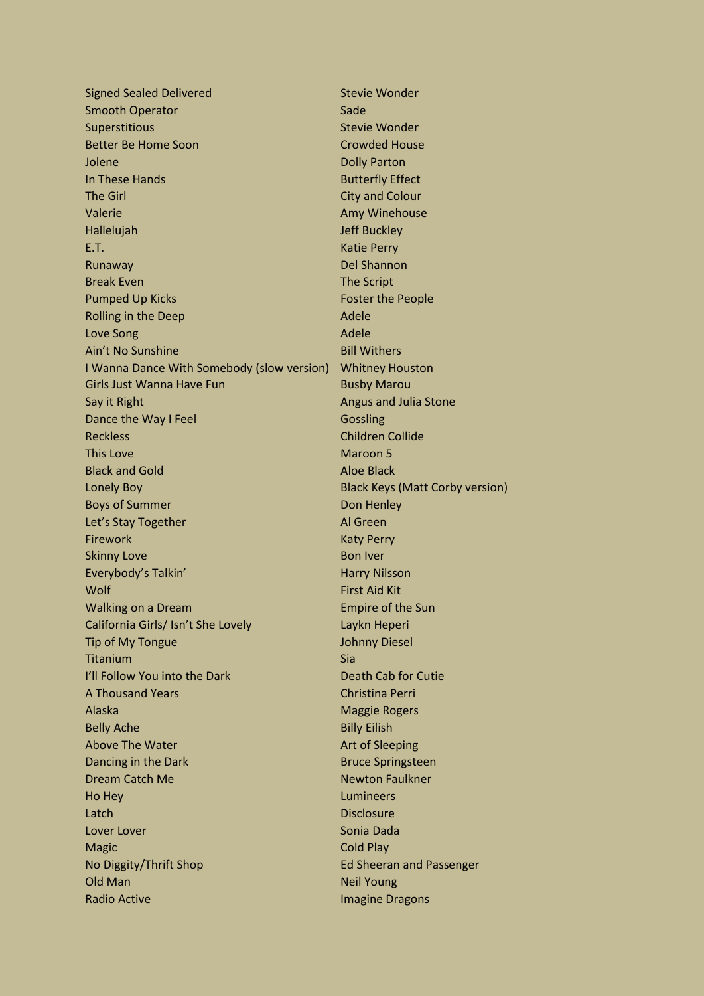Signed Sealed Delivered Stevie Wonder Smooth Operator Sade Sade Superstitious Superstitious Superstitious Stevie Wonder Better Be Home Soon **Crowded House** Jolene Dolly Parton In These Hands **Butterfly Effect** The Girl City and Colour Valerie **Amy Winehouse Amy Winehouse** Hallelujah Jeff Buckley E.T. Katie Perry Runaway Del Shannon **Break Even** The Script Pumped Up Kicks Foster the People Rolling in the Deep **Adele** Adele Adele Love Song **Adele** Adele Adele Adele Adele Adele Adele Adele Adele Adele Adele Adele Adele Adele Adele Adele Adele Adele Adele Adele Adele Adele Adele Adele Adele Adele Adele Adele Adele Adele Adele Adele Adele Adele Adele Ain't No Sunshine Bill Withers I Wanna Dance With Somebody (slow version) Whitney Houston Girls Just Wanna Have Fun Busby Marou Say it Right Angus and Julia Stone Dance the Way I Feel Gossling Reckless Children Collide This Love Maroon 5 Black and Gold **Aloe Black** Lonely Boy Black Keys (Matt Corby version) Boys of Summer Don Henley Let's Stay Together Al Green Firework **Katy Perry** Katy Perry Skinny Love Bon Iver Everybody's Talkin' Harry Nilsson Wolf First Aid Kit Walking on a Dream **Empire of the Sun** Empire of the Sun California Girls/ Isn't She Lovely Laykn Heperi Tip of My Tongue Johnny Diesel **Titanium** Sia I'll Follow You into the Dark Death Cab for Cutie A Thousand Years Christina Perri Alaska Maggie Rogers and Alaska Maggie Rogers and Alaska Maggie Rogers and Alaska Maggie Rogers Belly Ache Billy Eilish Above The Water Art of Sleeping Dancing in the Dark Bruce Springsteen Dream Catch Me Newton Faulkner Ho Hey Lumineers Latch Disclosure Lover Lover November 2008 - Sonia Dada Magic Cold Play Cold Play No Diggity/Thrift Shop Ed Sheeran and Passenger Old Man Neil Young Radio Active **Imagine Dragons Imagine Dragons**